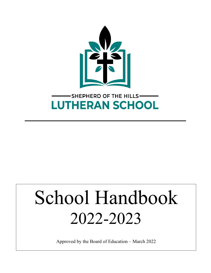

# School Handbook 2022-2023

Approved by the Board of Education – March 2022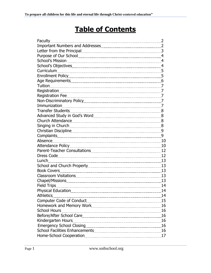# **Table of Contents**

| Faculty                   |    |
|---------------------------|----|
|                           |    |
|                           |    |
|                           |    |
|                           |    |
|                           |    |
|                           |    |
|                           |    |
|                           |    |
|                           |    |
|                           |    |
|                           |    |
|                           |    |
|                           |    |
|                           |    |
|                           |    |
|                           |    |
|                           |    |
|                           |    |
|                           |    |
| Absence 10                |    |
|                           |    |
|                           |    |
|                           |    |
| Lunch 13                  |    |
|                           |    |
|                           |    |
|                           | 13 |
|                           |    |
|                           | 14 |
| <b>Physical Education</b> | 14 |
| <b>Athletics</b>          | 14 |
|                           | 15 |
|                           | 16 |
| <b>School Hours</b>       | 16 |
|                           | 16 |
|                           | 16 |
|                           | 16 |
|                           | 16 |
|                           | 17 |
|                           |    |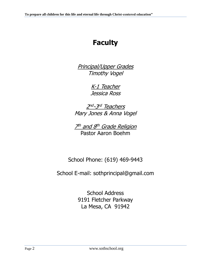# **Faculty**

Principal/Upper Grades Timothy Vogel

> K-1 Teacher Jessica Ross

2<sup>nd</sup>-3<sup>rd</sup> Teachers Mary Jones & Anna Vogel

7th and 8th Grade Religion Pastor Aaron Boehm

School Phone: (619) 469-9443

School E-mail: sothprincipal@gmail.com

School Address 9191 Fletcher Parkway La Mesa, CA 91942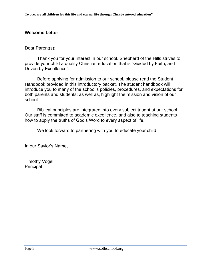# **Welcome Letter**

Dear Parent(s):

Thank you for your interest in our school. Shepherd of the Hills strives to provide your child a quality Christian education that is "Guided by Faith, and Driven by Excellence".

Before applying for admission to our school, please read the Student Handbook provided in this introductory packet. The student handbook will introduce you to many of the school's policies, procedures, and expectations for both parents and students; as well as, highlight the mission and vision of our school.

Biblical principles are integrated into every subject taught at our school. Our staff is committed to academic excellence, and also to teaching students how to apply the truths of God's Word to every aspect of life.

We look forward to partnering with you to educate your child.

In our Savior's Name,

Timothy Vogel Principal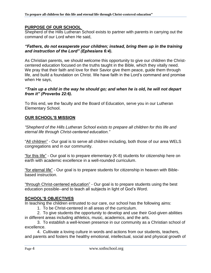#### **PURPOSE OF OUR SCHOOL**

Shepherd of the Hills Lutheran School exists to partner with parents in carrying out the command of our Lord when He said,

#### *"Fathers, do not exasperate your children; instead, bring them up in the training and instruction of the Lord" (Ephesians 6:4).*

As Christian parents, we should welcome this opportunity to give our children the Christcentered education focused on the truths taught in the Bible, which they vitally need. We pray that their faith and love for their Savior give them peace, guide them through life, and build a foundation on Christ. We have faith in the Lord's command and promise when He says,

#### *"Train up a child in the way he should go; and when he is old, he will not depart from it" (Proverbs 22:6).*

To this end, we the faculty and the Board of Education, serve you in our Lutheran Elementary School.

# **OUR SCHOOL'S MISSION**

*"Shepherd of the Hills Lutheran School exists to prepare all children for this life and eternal life through Christ-centered education."*

"All children" - Our goal is to serve all children including, both those of our area WELS congregations and in our community.

"for this life" - Our goal is to prepare elementary (K-8) students for citizenship here on earth with academic excellence in a well-rounded curriculum.

"for eternal life" - Our goal is to prepare students for citizenship in heaven with Biblebased instruction.

"through Christ-centered education" - Our goal is to prepare students using the best education possible--and to teach all subjects in light of God's Word.

# **SCHOOL'S OBJECTIVES**

In teaching the children entrusted to our care, our school has the following aims:

1. To be Christ-centered in all areas of the curriculum.

2. To give students the opportunity to develop and use their God-given abilities in different areas including athletics, music, academics, and the arts.

3. To establish a well-known presence in our community as a Christian school of excellence.

4. Cultivate a loving culture in words and actions from our students, teachers, and parents and fosters the healthy emotional, intellectual, social and physical growth of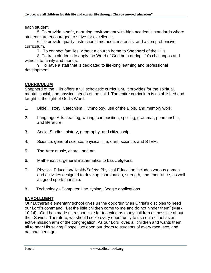each student.

5. To provide a safe, nurturing environment with high academic standards where students are encouraged to strive for excellence.

6. To provide quality instructional methods, materials, and a comprehensive curriculum.

7. To connect families without a church home to Shepherd of the Hills.

8. To train students to apply the Word of God both during life's challenges and witness to family and friends.

9. To have a staff that is dedicated to life-long learning and professional development.

# **CURRICULUM**

Shepherd of the Hills offers a full scholastic curriculum. It provides for the spiritual, mental, social, and physical needs of the child. The entire curriculum is established and taught in the light of God's Word.

- 1. Bible History, Catechism, Hymnology, use of the Bible, and memory work.
- 2. Language Arts: reading, writing, composition, spelling, grammar, penmanship, and literature.
- 3. Social Studies: history, geography, and citizenship.
- 4. Science: general science, physical, life, earth science, and STEM.
- 5. The Arts: music, choral, and art.
- 6. Mathematics: general mathematics to basic algebra.
- 7. Physical Education/Health/Safety: Physical Education includes various games and activities designed to develop coordination, strength, and endurance, as well as good sportsmanship.
- 8. Technology Computer Use, typing, Google applications.

# **ENROLLMENT**

Our Lutheran elementary school gives us the opportunity as Christ's disciples to heed our Lord's command, "Let the little children come to me and do not hinder them" (Mark 10:14). God has made us responsible for teaching as many children as possible about their Savior. Therefore, we should seize every opportunity to use our school as an active mission arm of the congregation. As our Lord loves all children and wants them all to hear His saving Gospel, we open our doors to students of every race, sex, and national heritage.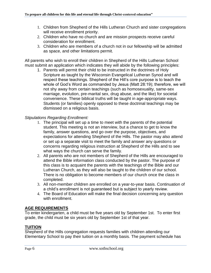- 1. Children from Shepherd of the Hills Lutheran Church and sister congregations will receive enrollment priority.
- 2. Children who have no church and are mission prospects receive careful consideration for enrollment.
- 3. Children who are members of a church not in our fellowship will be admitted as space, and other limitations permit.

All parents who wish to enroll their children in Shepherd of the Hills Lutheran School must submit an application which indicates they will abide by the following principles:

1. Parents will permit their child to be instructed in the doctrines of Holy Scripture as taught by the Wisconsin Evangelical Lutheran Synod and will respect these teachings. Shepherd of the Hill's core purpose is to teach the whole of God's Word as commanded by Jesus (Matt 28:19); therefore, we will not shy away from certain teachings (such as homosexuality, same-sex marriage, evolution, pre-marital sex, drug abuse, and the like) for societal convenience. These biblical truths will be taught in age-appropriate ways. Students (or families) openly opposed to these doctrinal teachings may be dismissed on a religious basis.

# *Stipulations Regarding Enrollment:*

- 1. The principal will set up a time to meet with the parents of the potential student. This meeting is not an interview, but a chance to get to know the family, answer questions, and go over the purpose, objectives, and expectations for attending Shepherd of the Hills. The pastor may also attend or set up a separate visit to meet the family and answer any questions or concerns regarding religious instruction at Shepherd of the Hills and to see what ways the church can serve the family.
- 2. All parents who are not members of Shepherd of the Hills are encouraged to attend the Bible information class conducted by the pastor. The purpose of this class is to acquaint the parents with the teachings of the Bible and our Lutheran Church, as they will also be taught to the children of our school. There is no obligation to become members of our church once the class in completed.
- 3. All non-member children are enrolled on a year-to-year basis. Continuation of a child's enrollment is not guaranteed but is subject to yearly review.
- 4. The Board of Education will make the final decision concerning any question with enrollment.

# **AGE REQUIREMENTS**

To enter kindergarten, a child must be five years old by September 1st. To enter first grade, the child must be six years old by September 1st of that year.

# **TUITION**

Shepherd of the Hills congregation requests families with children attending our Elementary School to pay their tuition on a monthly basis. The payment schedule has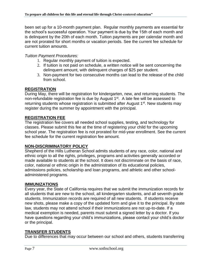been set up for a 10-month payment plan. Regular monthly payments are essential for the school's successful operation. Your payment is due by the 15th of each month and is delinquent by the 20th of each month. Tuition payments are per calendar month and are not prorated for short months or vacation periods. See the current fee schedule for current tuition amounts.

# *Tuition Payment Procedures:*

- 1. Regular monthly payment of tuition is expected.
- 2. If tuition is not paid on schedule, a written notice will be sent concerning the delinquent amount, with delinquent charges of \$25 per student.
- 3. Non-payment for two consecutive months can lead to the release of the child from school.

# **REGISTRATION**

During May, there will be registration for kindergarten, new, and returning students. The non-refundable registration fee is due by August 1<sup>st</sup>. A late fee will be assessed to returning students whose registration is submitted after August 1<sup>st</sup>. New students may register during the summer by appointment with the principal.

# **REGISTRATION FEE**

The registration fee covers all needed school supplies, testing, and technology for classes. Please submit this fee at the time of registering your child for the upcoming school year. The registration fee is not prorated for mid-year enrollment. See the current fee schedule for the current registration fee amount.

# **NON-DISCRIMINATORY POLICY**

Shepherd of the Hills Lutheran School admits students of any race, color, national and ethnic origin to all the rights, privileges, programs and activities generally accorded or made available to students at the school. It does not discriminate on the basis of race, color, national or ethnic origin in the administration of its educational policies, admissions policies, scholarship and loan programs, and athletic and other schooladministered programs.

# **IMMUNIZATIONS**

Every year, the State of California requires that we submit the immunization records for all students that are new to the school, all kindergarten students, and all seventh grade students. Immunization records are required of all new students. If students receive new shots, please make a copy of the updated form and give it to the principal. By state law, students may not attend school if their immunizations are not up-to-date. If a medical exemption is needed, parents must submit a signed letter by a doctor. If you have questions regarding your child's immunizations, please contact your child's doctor or the principal.

# **TRANSFER STUDENTS**

Due to differences that may occur between our school and others, students transferring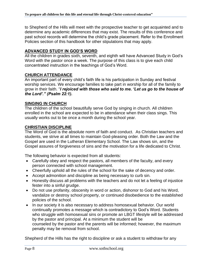to Shepherd of the Hills will meet with the prospective teacher to get acquainted and to determine any academic differences that may exist. The results of this conference and past school records will determine the child's grade placement. Refer to the Enrollment Policies section of this handbook for other stipulations that may apply.

# **ADVANCED STUDY IN GOD'S WORD**

All the children in grades sixth, seventh, and eighth will have Advanced Study in God's Word with the pastor once a week. The purpose of this class is to give each child concentrated instruction in the teachings of God's Word.

#### **CHURCH ATTENDANCE**

An important part of every child's faith life is his participation in Sunday and festival worship services. We encourage families to take part in worship for all of the family to grow in their faith. "*I rejoiced with those who said to me. 'Let us go to the house of the Lord'." (Psalm 22:1).*

#### **SINGING IN CHURCH**

The children of the school beautifully serve God by singing in church. All children enrolled in the school are expected to be in attendance when their class sings. This usually works out to be once a month during the school year.

#### **CHRISTIAN DISCIPLINE**

The Word of God is the absolute norm of faith and conduct. As Christian teachers and students, we strive at all times to maintain God-pleasing order. Both the Law and the Gospel are used in the Lutheran Elementary School. The Law shows sin, and the Gospel assures of forgiveness of sins and the motivation for a life dedicated to Christ.

The following behavior is expected from all students:

- Carefully obey and respect the pastors, all members of the faculty, and every person connected with school management.
- Cheerfully uphold all the rules of the school for the sake of decency and order.
- Accept admonition and discipline as being necessary to curb sin.
- Honestly discuss all problems with the teachers and do not let a feeling of injustice fester into a sinful grudge.
- Do not use profanity, obscenity in word or action, dishonor to God and his Word, vandalize or destroy school property, or continued disobedience to the established policies of the school.
- In our society it is also necessary to address homosexual behavior. Our world continually promotes a message which is contradictory to God's Word. Students who struggle with homosexual sins or promote an LBGT lifestyle will be addressed by the pastor and principal. At a minimum the student will be counseled by the pastor and the parents will be informed; however, the maximum penalty may be removal from school.

Shepherd of the Hills has the right to discipline or ask a student to withdraw for any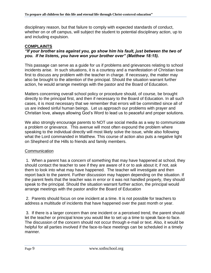disciplinary reason, but that failure to comply with expected standards of conduct, whether on or off campus, will subject the student to potential disciplinary action, up to and including expulsion.

# **COMPLAINTS**

#### *"If your brother sins against you, go show him his fault, just between the two of you. If he listens, you have won your brother over" (Matthew 18:15).*

This passage can serve as a guide for us if problems and grievances relating to school incidents arise. In such situations, it is a courtesy and a manifestation of Christian love first to discuss any problem with the teacher in charge. If necessary, the matter may also be brought to the attention of the principal. Should the situation warrant further action, he would arrange meetings with the pastor and the Board of Education.

Matters concerning overall school policy or procedure should, of course, be brought directly to the principal first, and then if necessary to the Board of Education. In all such cases, it is most necessary that we remember that errors will be committed since all of us are indeed sinful human beings. Let us approach our problems with prayer and Christian love, always allowing God's Word to lead us to peaceful and proper solutions.

We also strongly encourage parents to NOT use social media as a way to communicate a problem or grievance. This avenue will most often expound the problem where speaking to the individual directly will most likely solve the issue, while also following what the Lord commanded in Matthew. This course of action also puts a negative light on Shepherd of the Hills to friends and family members.

# **Communication**

1. When a parent has a concern of something that may have happened at school, they should contact the teacher to see if they are aware of it or to ask about it; if not, ask them to look into what may have happened. The teacher will investigate and then report back to the parent. Further discussion may happen depending on the situation. If the parent feels that the teacher was in error or it was not handled properly, they should speak to the principal. Should the situation warrant further action, the principal would arrange meetings with the pastor and/or the Board of Education

2. Parents should focus on one incident at a time. It is not possible for teachers to address a multitude of incidents that have happened over the past month or year.

3. If there is a larger concern than one incident or a perceived trend, the parent should let the teacher or principal know you would like to set up a time to speak face-to face. The discussion of the concern should not occur through e-mail or text. Also, it would be helpful for all parties involved if the face-to-face meetings can be scheduled in a timely manner.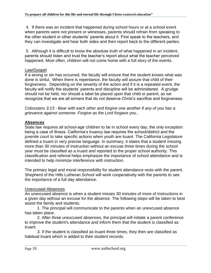4. If there was an incident that happened during school hours or at a school event when parents were not present or witnesses, parents should refrain from speaking to the other student or other students' parents about it. First speak to the teachers, and they can investigate and hear both sides and then report back to the different parties.

5. Although it is difficult to know the absolute truth of what happened in an incident, parents should listen and trust the teacher's report about what the teacher perceived happened. Most often, children will not come home with a full story of the events.

#### Law/Gospel

If a wrong or sin has occurred, the faculty will ensure that the student knows what was done is sinful. When there is repentance, the faculty will assure that child of their forgiveness. Depending on the severity of the action and if it is a repeated event, the faculty will notify the students' parents and discipline will be administered. A grudge should not be held, nor should a label be placed upon that child or parent, as we recognize that we are all sinners that do not deserve Christ's sacrifice and forgiveness.

*Colossians 3:13 - Bear with each other and forgive one another if any of you has a grievance against someone. Forgive as the Lord forgave you.*.

# **Absences**

State law requires all school-age children to be in school every day, the only exception being a case of illness. California's truancy law requires the school/district and the juvenile court to take specific actions when youth are truant. The California Legislature defined a truant in very precise language. In summary, it states that a student missing more than 30 minutes of instruction without an excuse three times during the school year must be classified as a truant and reported to the proper school authority. This classification and referral helps emphasize the importance of school attendance and is intended to help minimize interference with instruction.

The primary legal and moral responsibility for student attendance rests with the parent. Shepherd of the Hills Lutheran School will work cooperatively with the parents to see the importance of a full day attendance.

# Unexcused Absences

An unexcused absence is when a student misses 30 minutes of more of instructions in a given day without an excuse for the absence. The following steps will be taken to best assist the family and students.

1. The principal will communicate to the parents when an unexcused absence has taken place.

2. After three unexcused absences, the principal will initiate a parent conference to improve the student's attendance and inform them that the student is classified as truant.

3. If the student is classified as truant three times, they then are classified as habitual truant which is added to their student records.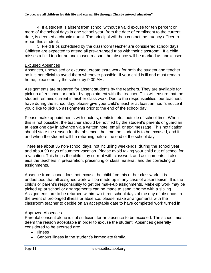4. If a student is absent from school without a valid excuse for ten percent or more of the school days in one school year, from the date of enrollment to the current date, is deemed a chronic truant. The principal will then contact the truancy officer to report this student.

5. Field trips scheduled by the classroom teacher are considered school days. Children are expected to attend all pre-arranged trips with their classroom. If a child misses a field trip for an unexcused reason, the absence will be marked as unexcused.

#### Excused Absences

Absences, unexcused or excused, create extra work for both the student and teacher, so it is beneficial to avoid them whenever possible. If your child is ill and must remain home, please notify the school by 9:00 AM.

Assignments are prepared for absent students by the teachers. They are available for pick up after school or earlier by appointment with the teacher. This will ensure that the student remains current in his/her class work. Due to the responsibilities, our teachers have during the school day, please give your child's teacher at least an hour's notice if you'd like to pick up assignments prior to the end of the school day.

Please make appointments with doctors, dentists, etc., outside of school time. When this is not possible, the teacher should be notified by the student's parents or guardian at least one day in advance via a written note, email, or text message. This notification should state the reason for the absence, the time the student is to be excused, and if and when the student will be returning before the end of the school day.

There are about 35 non-school days, not including weekends, during the school year and about 90 days of summer vacation. Please avoid taking your child out of school for a vacation. This helps the child stay current with classwork and assignments. It also aids the teachers in preparation, presenting of class material, and the correcting of assignments.

Absence from school does not excuse the child from his or her classwork. It is understood that all assigned work will be made up in any case of absenteeism. It is the child's or parent's responsibility to get the make-up assignments. Make-up work may be picked up at school or arrangements can be made to send it home with a sibling. Assignments are to be returned within two-three school days of the day of absence. In the event of prolonged illness or absence, please make arrangements with the classroom teacher to decide on an acceptable date to have completed work turned in.

#### Approved Absences

Parental consent alone is not sufficient for an absence to be excused. The school must deem the reason acceptable in order to excuse the student. Absences generally considered to be excused are:

- Illness
- Serious illness in the student's immediate family.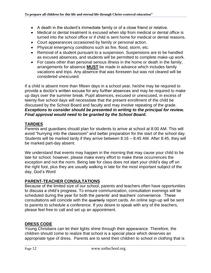- A death in the student's immediate family or of a close friend or relative.
- Medical or dental treatment is excused when slip from medical or dental office is turned into the school office or if child is sent home for medical or dental reasons.
- Court appearances occasioned by family or personal action.
- Physical emergency conditions such as fire, flood, storm, etc.
- Removal of a student pursuant to a suspension. Suspensions are to be handled as excused absences, and students will be permitted to complete make-up work.
- For cases other than personal serious illness in the home or death in the family, arrangements for absence **MUST** be made in advance which includes family vacations and trips. Any absence that was foreseen but was not cleared will be considered unexcused.

If a child is absent more than fifteen days in a school year, he/she may be required to provide a doctor's written excuse for any further absences and may be required to make up days over the summer break. Pupil absences, excused or unexcused, in excess of twenty-five school days will necessitate that the present enrollment of the child be discussed by the School Board and faculty and may involve repeating of the grade. *Exceptions to consider should be presented in writing to the principal for review. Final approval would need to be granted by the School Board.*

# **TARDIES**

Parents and guardians should plan for students to arrive at school at 8:00 AM. This will avoid "hurrying into the classroom" and better preparation for the start of the school day. Students will be marked tardy if they arrive between 8:16 – 8:45 AM. After 8:45, they will be marked part-day absent.

We understand that events may happen in the morning that may cause your child to be late for school; however, please make every effort to make these occurrences the exception and not the norm. Being late for class does not start your child's day off on the right foot, plus they are usually walking in late for the most important subject of the day, God's Word

# **PARENT-TEACHER CONSULTATIONS**

Because of the limited size of our school, parents and teachers often have opportunities to discuss a child's progress. To ensure communication, consultation evenings will be scheduled during the year for both the parents' and teachers' convenience. These consultations will coincide with the quarterly report cards. An online sign-up will be sent to parents to schedule a conference. If you desire to speak with any of the teachers, please feel free to call and set up an appointment.

# **DRESS CODE**

Young Christians can let their lights shine through their appearance. Therefore, the children should come to realize that school is a special place which deserves an appropriate type of dress. Parents are to send their children to school in clothing that is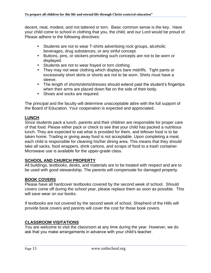decent, neat, modest, and not tattered or torn. Basic common sense is the key. Have your child come to school in clothing that you, the child, and our Lord would be proud of. Please adhere to the following directives:

- Students are not to wear T-shirts advertising rock groups, alcoholic beverages, drug substances, or any sinful concept.
- Buttons, pins, or stickers promoting such concepts are not to be worn or displayed.
- Students are not to wear frayed or torn clothing.
- They may not wear clothing which displays bare midriffs. Tight pants or excessively short skirts or shorts are not to be worn. Shirts must have a sleeve.
- The length of shorts/skirts/dresses should extend past the student's fingertips when their arms are placed down flat on the side of their body.
- Shoes and socks are required.

The principal and the faculty will determine unacceptable attire with the full support of the Board of Education. Your cooperation is expected and appreciated.

# **LUNCH**

Since students pack a lunch, parents and their children are responsible for proper care of that food. Please either pack or check to see that your child has packed a nutritious lunch. They are expected to eat what is provided for them, and leftover food is to be taken home. Trading or giving away food is not acceptable. Upon completing a meal, each child is responsible for cleaning his/her dining area. This means that they should take all sacks, food wrappers, drink cartons, and scraps of food to a trash container. Microwave use is available for the upper-grade class.

# **SCHOOL AND CHURCH PROPERTY**

All buildings, textbooks, desks, and materials are to be treated with respect and are to be used with good stewardship. The parents will compensate for damaged property.

# **BOOK COVERS**

Please have all hardcover textbooks covered by the second week of school. Should covers come off during the school year, please replace them as soon as possible. This will save wear on our books.

If textbooks are not covered by the second week of school, Shepherd of the Hills will provide book covers and parents will cover the cost for those book covers.

# **CLASSROOM VISITATIONS**

You are welcome to visit the classroom at any time during the year. However, we do ask that you make arrangements in advance with your child's teacher.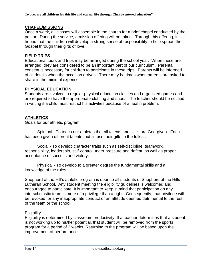#### **CHAPEL/MISSIONS**

Once a week, all classes will assemble in the church for a brief chapel conducted by the pastor. During the service, a mission offering will be taken. Through this offering, it is hoped that the children will develop a strong sense of responsibility to help spread the Gospel through their gifts of love.

#### **FIELD TRIPS**

Educational tours and trips may be arranged during the school year. When these are arranged, they are considered to be an important part of our curriculum. Parental consent is necessary for children to participate in these trips. Parents will be informed of all details when the occasion arrives. There may be times when parents are asked to share in the minimal expense.

# **PHYSICAL EDUCATION**

Students are involved in regular physical education classes and organized games and are required to have the appropriate clothing and shoes. The teacher should be notified in writing if a child must restrict his activities because of a health problem.

# **ATHLETICS**

Goals for our athletic program:

Spiritual - To teach our athletes that all talents and skills are God-given. Each has been given different talents, but all use their gifts to the fullest.

Social - To develop character traits such as self-discipline, teamwork, responsibility, leadership, self-control under pressure and defeat, as well as proper acceptance of success and victory.

Physical - To develop to a greater degree the fundamental skills and a knowledge of the rules.

Shepherd of the Hill's athletic program is open to all students of Shepherd of the Hills Lutheran School. Any student meeting the eligibility guidelines is welcomed and encouraged to participate. It is important to keep in mind that participation on any interscholastic team is more of a privilege than a right. Consequently, that privilege will be revoked for any inappropriate conduct or an attitude deemed detrimental to the rest of the team or the school.

# **Eligibility**

Eligibility is determined by classroom productivity. If a teacher determines that a student is not working up to his/her potential, that student will be removed from the sports program for a period of 2 weeks. Returning to the program will be based upon the improvement of performance.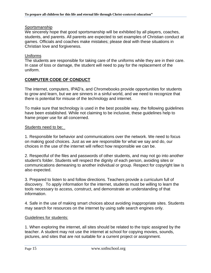#### **Sportsmanship**

We sincerely hope that good sportsmanship will be exhibited by all players, coaches, students, and parents. All parents are expected to set examples of Christian conduct at games. Officials and coaches make mistakes; please deal with these situations in Christian love and forgiveness.

#### Uniforms

The students are responsible for taking care of the uniforms while they are in their care. In case of loss or damage, the student will need to pay for the replacement of the uniform.

# **COMPUTER CODE OF CONDUCT**

The internet, computers, IPAD's, and Chromebooks provide opportunities for students to grow and learn, but we are sinners in a sinful world, and we need to recognize that there is potential for misuse of the technology and internet.

To make sure that technology is used in the best possible way, the following guidelines have been established. While not claiming to be inclusive, these guidelines help to frame proper use for all concerned.

#### Students need to be:

1. Responsible for behavior and communications over the network. We need to focus on making good choices. Just as we are responsible for what we say and do, our choices in the use of the internet will reflect how responsible we can be.

2. Respectful of the files and passwords of other students, and may not go into another student's folder. Students will respect the dignity of each person, avoiding sites or communications demeaning to another individual or group. Respect for copyright law is also expected.

3. Prepared to listen to and follow directions. Teachers provide a curriculum full of discovery. To apply information for the internet, students must be willing to learn the tools necessary to access, construct, and demonstrate an understanding of that information.

4. Safe in the use of making smart choices about avoiding inappropriate sites. Students may search for resources on the internet by using safe search engines only.

# Guidelines for students:

1. When exploring the internet, all sites should be related to the topic assigned by the teacher. A student may not use the internet at school for copying movies, sounds, pictures, and sites that are not suitable for a current project or assignment.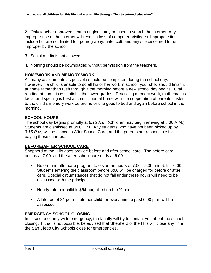2. Only teacher approved search engines may be used to search the internet. Any improper use of the internet will result in loss of computer privileges. Improper sites include but are not limited to: pornography, hate, cult, and any site discerned to be improper by the school.

- 3. Social media is not allowed.
- 4. Nothing should be downloaded without permission from the teachers.

# **HOMEWORK AND MEMORY WORK**

As many assignments as possible should be completed during the school day. However, if a child is unable to do all his or her work in school, your child should finish it at home rather than rush through it the morning before a new school day begins. Oral reading at home is essential in the lower grades. Practicing memory work, mathematics facts, and spelling is best accomplished at home with the cooperation of parents. Listen to the child's memory work before he or she goes to bed and again before school in the morning.

# **SCHOOL HOURS**

The school day begins promptly at *8:15 A.M*. (Children may begin arriving at 8:00 A.M.) Students are dismissed at 3:00 P.M. Any students who have not been picked up by *3:15 P.M,* will be placed in After School Care, and the parents are responsible for paying those charges.

# **BEFORE/AFTER SCHOOL CARE**

Shepherd of the Hills does provide before and after school care. The before care begins at 7:00, and the after-school care ends at 6:00.

- Before and after care program to cover the hours of  $7:00$  8:00 and  $3:15$  6:00. Students entering the classroom before 8:00 will be charged for before or after care. Special circumstances that do not fall under these hours will need to be discussed with the principal.
- Hourly rate per child is \$5/hour, billed on the  $\frac{1}{2}$  hour.
- A late fee of \$1 per minute per child for every minute past 6:00 p.m. will be assessed.

# **EMERGENCY SCHOOL CLOSING**

In case of a county-wide emergency, the faculty will try to contact you about the school closing. If that is not possible, be advised that Shepherd of the Hills will close any time the San Diego City Schools close for emergencies.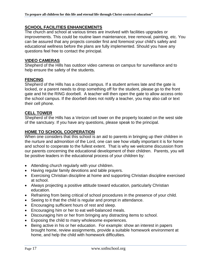#### **SCHOOL FACILITIES ENHANCEMENTS**

The church and school at various times are involved with facilities upgrades or improvements. This could be routine lawn maintenance, tree removal, painting, etc. You can be assured that any projects consider first and foremost your child's safety and educational wellness before the plans are fully implemented. Should you have any questions feel free to contact the principal.

#### **VIDEO CAMERAS**

Shepherd of the Hills has outdoor video cameras on campus for surveillance and to help ensure the safety of the students.

# **FENCING**

Shepherd of the Hills has a closed campus. If a student arrives late and the gate is locked, or a parent needs to drop something off for the student, please go to the front gate and hit the RING doorbell. A teacher will then open the gate to allow access onto the school campus. If the doorbell does not notify a teacher, you may also call or text their cell phone.

#### **CELL TOWER**

Shepherd of the Hills has a Verizon cell tower on the property located on the west side of the sanctuary. If you have any questions, please speak to the principal.

#### **HOME TO SCHOOL COOPERATION**

When one considers that this school is an aid to parents in bringing up their children in the nurture and admonition of the Lord, one can see how vitally important it is for home and school to cooperate to the fullest extent. That is why we welcome discussion from our parents concerning the educational development of their children. Parents, you will be positive leaders in the educational process of your children by:

- Attending church regularly with your children.
- Having regular family devotions and table prayers.
- Exercising Christian discipline at home and supporting Christian discipline exercised at school.
- Always projecting a positive attitude toward education, particularly Christian education.
- Refraining from being critical of school procedures in the presence of your child.
- Seeing to it that the child is regular and prompt in attendance.
- Encouraging sufficient hours of rest and sleep.
- Encouraging him or her to eat well-balanced meals.
- Discouraging him or her from bringing any distracting items to school.
- Exposing the child to many wholesome experiences.
- Being active in his or her education. For example: show an interest in papers brought home, review assignments, provide a suitable homework environment at home, and help the child with homework difficulties.